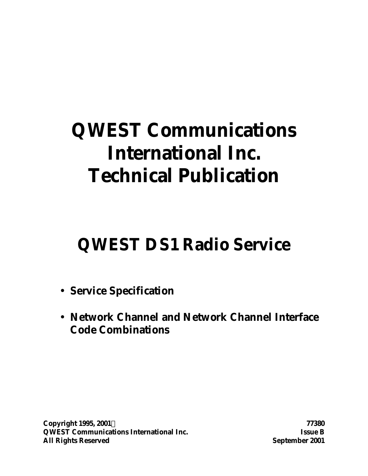# **QWEST Communications International Inc. Technical Publication**

# **QWEST DS1 Radio Service**

- **Service Specification**
- **Network Channel and Network Channel Interface Code Combinations**

**Copyright 1995, 2001Ó 77380 QWEST Communications International Inc. Issue B All Rights Reserved September 2001**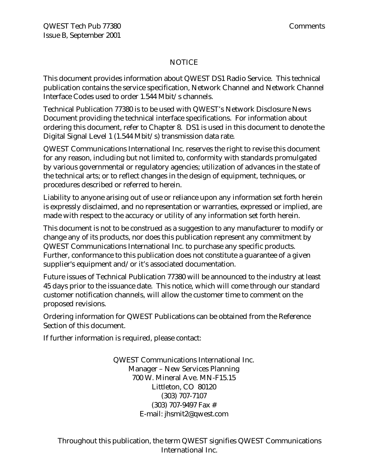#### NOTICE

This document provides information about QWEST DS1 Radio Service. This technical publication contains the service specification, Network Channel and Network Channel Interface Codes used to order 1.544 Mbit/s channels.

Technical Publication 77380 is to be used with QWEST's Network Disclosure News Document providing the technical interface specifications. For information about ordering this document, refer to Chapter 8. DS1 is used in this document to denote the Digital Signal Level 1 (1.544 Mbit/s) transmission data rate.

QWEST Communications International Inc. reserves the right to revise this document for any reason, including but not limited to, conformity with standards promulgated by various governmental or regulatory agencies; utilization of advances in the state of the technical arts; or to reflect changes in the design of equipment, techniques, or procedures described or referred to herein.

Liability to anyone arising out of use or reliance upon any information set forth herein is expressly disclaimed, and no representation or warranties, expressed or implied, are made with respect to the accuracy or utility of any information set forth herein.

This document is not to be construed as a suggestion to any manufacturer to modify or change any of its products, nor does this publication represent any commitment by QWEST Communications International Inc. to purchase any specific products. Further, conformance to this publication does not constitute a guarantee of a given supplier's equipment and/or it's associated documentation.

Future issues of Technical Publication 77380 will be announced to the industry at least 45 days prior to the issuance date. This notice, which will come through our standard customer notification channels, will allow the customer time to comment on the proposed revisions.

Ordering information for QWEST Publications can be obtained from the Reference Section of this document.

If further information is required, please contact:

QWEST Communications International Inc. Manager – New Services Planning 700 W. Mineral Ave. MN-F15.15 Littleton, CO 80120 (303) 707-7107 (303) 707-9497 Fax # E-mail: jhsmit2@qwest.com

Throughout this publication, the term QWEST signifies QWEST Communications International Inc.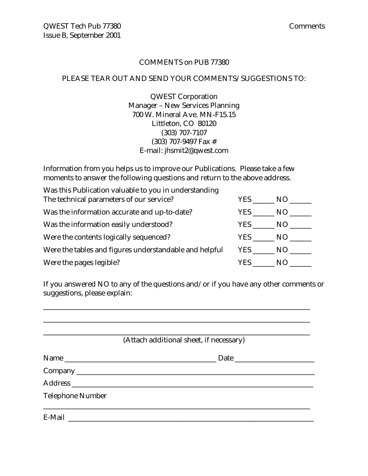#### COMMENTS on PUB 77380

#### PLEASE TEAR OUT AND SEND YOUR COMMENTS/SUGGESTIONS TO:

QWEST Corporation Manager – New Services Planning 700 W. Mineral Ave. MN-F15.15 Littleton, CO 80120 (303) 707-7107 (303) 707-9497 Fax # E-mail: jhsmit2@qwest.com

Information from you helps us to improve our Publications. Please take a few moments to answer the following questions and return to the above address.

| Was this Publication valuable to you in understanding  |            |     |
|--------------------------------------------------------|------------|-----|
| The technical parameters of our service?               | YES.       | NO. |
| Was the information accurate and up-to-date?           | YES.       | NO. |
| Was the information easily understood?                 | YES        | NO  |
| Were the contents logically sequenced?                 | <b>YES</b> | NO. |
| Were the tables and figures understandable and helpful | YES        | NO. |
| Were the pages legible?                                | YES.       | N() |

If you answered NO to any of the questions and/or if you have any other comments or suggestions, please explain:

\_\_\_\_\_\_\_\_\_\_\_\_\_\_\_\_\_\_\_\_\_\_\_\_\_\_\_\_\_\_\_\_\_\_\_\_\_\_\_\_\_\_\_\_\_\_\_\_\_\_\_\_\_\_\_\_\_\_\_\_\_\_\_\_\_\_\_\_\_\_\_\_\_\_

|                         | (Attach additional sheet, if necessary) |  |
|-------------------------|-----------------------------------------|--|
|                         |                                         |  |
|                         |                                         |  |
|                         |                                         |  |
| <b>Telephone Number</b> |                                         |  |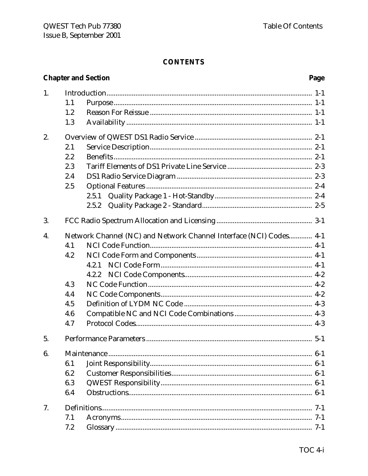|    |     | <b>Chapter and Section</b>                                         | Page  |
|----|-----|--------------------------------------------------------------------|-------|
| 1. |     |                                                                    |       |
|    | 1.1 |                                                                    |       |
|    | 1.2 |                                                                    |       |
|    | 1.3 |                                                                    |       |
| 2. |     |                                                                    |       |
|    | 2.1 |                                                                    |       |
|    | 2.2 |                                                                    |       |
|    | 2.3 |                                                                    |       |
|    | 2.4 |                                                                    |       |
|    | 2.5 |                                                                    |       |
|    |     | 2.5.1                                                              |       |
|    |     | 2.5.2                                                              |       |
| 3. |     |                                                                    |       |
| 4. |     | Network Channel (NC) and Network Channel Interface (NCI) Codes 4-1 |       |
|    | 4.1 |                                                                    |       |
|    | 4.2 |                                                                    |       |
|    |     | 4.2.1                                                              |       |
|    |     | 4.2.2                                                              |       |
|    | 4.3 |                                                                    |       |
|    | 4.4 |                                                                    |       |
|    | 4.5 |                                                                    |       |
|    | 4.6 |                                                                    |       |
|    | 4.7 |                                                                    |       |
| 5. |     |                                                                    |       |
| 6. |     |                                                                    | $6-1$ |
|    | 6.1 |                                                                    | $6-1$ |
|    | 6.2 |                                                                    |       |
|    | 6.3 |                                                                    |       |
|    | 6.4 |                                                                    |       |
| 7. |     |                                                                    |       |
|    | 7.1 |                                                                    |       |
|    | 7.2 |                                                                    |       |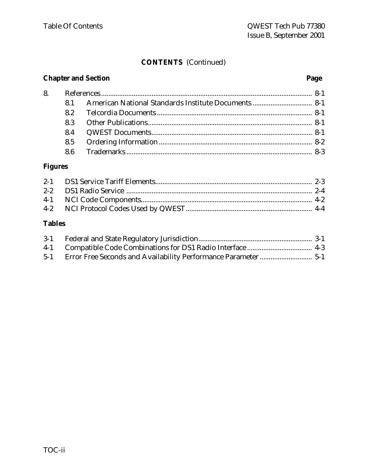# **CONTENTS** (Continued)

# **Chapter and Section Page**

| 8. |     |  |
|----|-----|--|
|    |     |  |
|    |     |  |
|    |     |  |
|    | 8.4 |  |
|    |     |  |
|    |     |  |

# **Figures**

# **Tables**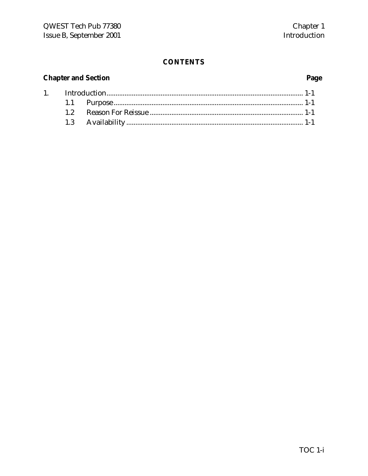# **Chapter and Section**

 $1.$ 

# Page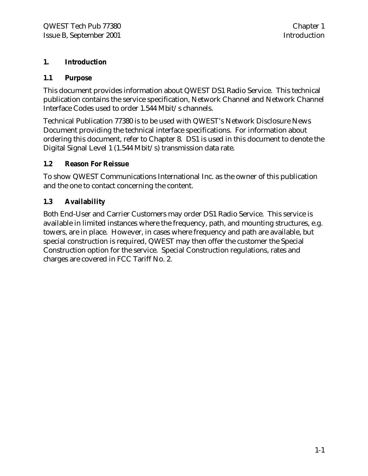#### **1. Introduction**

#### **1.1 Purpose**

This document provides information about QWEST DS1 Radio Service. This technical publication contains the service specification, Network Channel and Network Channel Interface Codes used to order 1.544 Mbit/s channels.

Technical Publication 77380 is to be used with QWEST's Network Disclosure News Document providing the technical interface specifications. For information about ordering this document, refer to Chapter 8. DS1 is used in this document to denote the Digital Signal Level 1 (1.544 Mbit/s) transmission data rate.

#### **1.2 Reason For Reissue**

To show QWEST Communications International Inc. as the owner of this publication and the one to contact concerning the content.

### **1.3 Availability**

Both End-User and Carrier Customers may order DS1 Radio Service. This service is available in limited instances where the frequency, path, and mounting structures, e.g. towers, are in place. However, in cases where frequency and path are available, but special construction is required, QWEST may then offer the customer the Special Construction option for the service. Special Construction regulations, rates and charges are covered in FCC Tariff No. 2.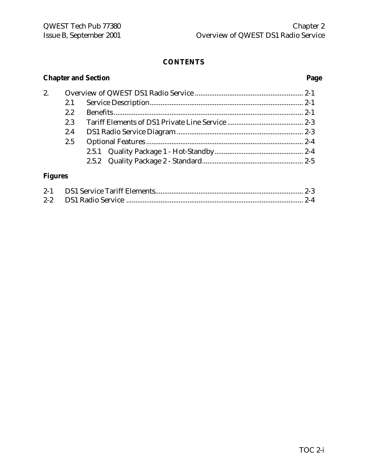# **Chapter and Section Page** 2. Overview of QWEST DS1 Radio Service ............................................................ 2-1 2.1 Service Description..................................................................................... 2-1 2.2 Benefits ......................................................................................................... 2-1 2.3 Tariff Elements of DS1 Private Line Service .......................................... 2-3 2.4 DS1 Radio Service Diagram ...................................................................... 2-3 2.5 Optional Features ....................................................................................... 2-4 2.5.1 Quality Package 1 - Hot-Standby................................................. 2-4 2.5.2 Quality Package 2 - Standard........................................................ 2-5 **Figures**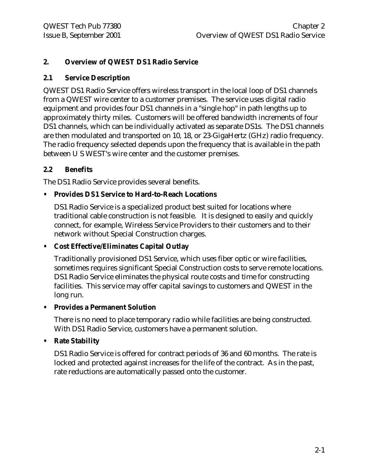#### **2. Overview of QWEST DS1 Radio Service**

#### **2.1 Service Description**

QWEST DS1 Radio Service offers wireless transport in the local loop of DS1 channels from a QWEST wire center to a customer premises. The service uses digital radio equipment and provides four DS1 channels in a "single hop" in path lengths up to approximately thirty miles. Customers will be offered bandwidth increments of four DS1 channels, which can be individually activated as separate DS1s. The DS1 channels are then modulated and transported on 10, 18, or 23-GigaHertz (GHz) radio frequency. The radio frequency selected depends upon the frequency that is available in the path between U S WEST's wire center and the customer premises.

#### **2.2 Benefits**

The DS1 Radio Service provides several benefits.

#### **• Provides DS1 Service to Hard-to-Reach Locations**

DS1 Radio Service is a specialized product best suited for locations where traditional cable construction is not feasible. It is designed to easily and quickly connect, for example, Wireless Service Providers to their customers and to their network without Special Construction charges.

#### **• Cost Effective/Eliminates Capital Outlay**

Traditionally provisioned DS1 Service, which uses fiber optic or wire facilities, sometimes requires significant Special Construction costs to serve remote locations. DS1 Radio Service eliminates the physical route costs and time for constructing facilities. This service may offer capital savings to customers and QWEST in the long run.

#### **• Provides a Permanent Solution**

There is no need to place temporary radio while facilities are being constructed. With DS1 Radio Service, customers have a permanent solution.

#### **• Rate Stability**

DS1 Radio Service is offered for contract periods of 36 and 60 months. The rate is locked and protected against increases for the life of the contract. As in the past, rate reductions are automatically passed onto the customer.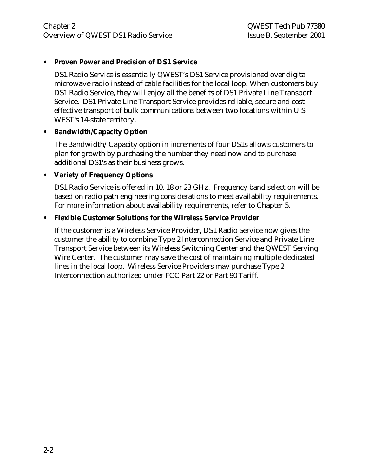#### **• Proven Power and Precision of DS1 Service**

DS1 Radio Service is essentially QWEST's DS1 Service provisioned over digital microwave radio instead of cable facilities for the local loop. When customers buy DS1 Radio Service, they will enjoy all the benefits of DS1 Private Line Transport Service. DS1 Private Line Transport Service provides reliable, secure and costeffective transport of bulk communications between two locations within U S WEST's 14-state territory.

#### **• Bandwidth/Capacity Option**

The Bandwidth/Capacity option in increments of four DS1s allows customers to plan for growth by purchasing the number they need now and to purchase additional DS1's as their business grows.

#### **• Variety of Frequency Options**

DS1 Radio Service is offered in 10, 18 or 23 GHz. Frequency band selection will be based on radio path engineering considerations to meet availability requirements. For more information about availability requirements, refer to Chapter 5.

#### **• Flexible Customer Solutions for the Wireless Service Provider**

If the customer is a Wireless Service Provider, DS1 Radio Service now gives the customer the ability to combine Type 2 Interconnection Service and Private Line Transport Service between its Wireless Switching Center and the QWEST Serving Wire Center. The customer may save the cost of maintaining multiple dedicated lines in the local loop. Wireless Service Providers may purchase Type 2 Interconnection authorized under FCC Part 22 or Part 90 Tariff.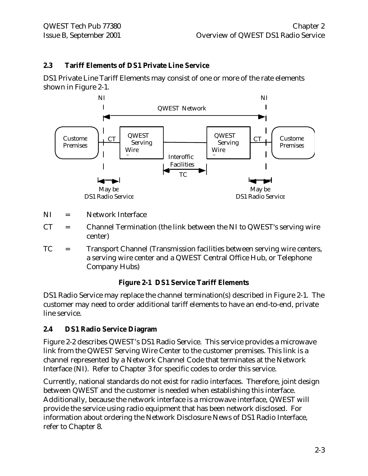#### **2.3 Tariff Elements of DS1 Private Line Service**

DS1 Private Line Tariff Elements may consist of one or more of the rate elements shown in Figure 2-1.



- NI = Network Interface
- $CT =$  Channel Termination (the link between the NI to QWEST's serving wire center)
- TC = Transport Channel (Transmission facilities between serving wire centers, a serving wire center and a QWEST Central Office Hub, or Telephone Company Hubs)

#### **Figure 2-1 DS1 Service Tariff Elements**

DS1 Radio Service may replace the channel termination(s) described in Figure 2-1. The customer may need to order additional tariff elements to have an end-to-end, private line service.

#### **2.4 DS1 Radio Service Diagram**

Figure 2-2 describes QWEST's DS1 Radio Service. This service provides a microwave link from the QWEST Serving Wire Center to the customer premises. This link is a channel represented by a Network Channel Code that terminates at the Network Interface (NI). Refer to Chapter 3 for specific codes to order this service.

Currently, national standards do not exist for radio interfaces. Therefore, joint design between QWEST and the customer is needed when establishing this interface. Additionally, because the network interface is a microwave interface, QWEST will provide the service using radio equipment that has been network disclosed. For information about ordering the Network Disclosure News of DS1 Radio Interface, refer to Chapter 8.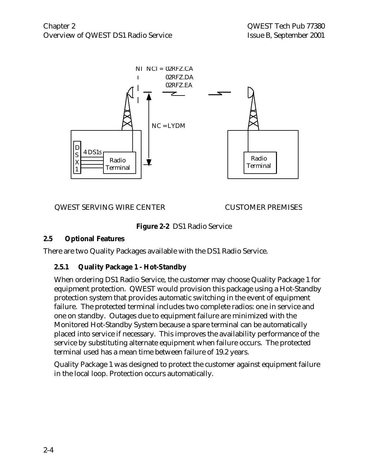

QWEST SERVING WIRE CENTER CUSTOMER PREMISES

**Figure 2-2** DS1 Radio Service

#### **2.5 Optional Features**

There are two Quality Packages available with the DS1 Radio Service.

#### **2.5.1 Quality Package 1 - Hot-Standby**

When ordering DS1 Radio Service, the customer may choose Quality Package 1 for equipment protection. QWEST would provision this package using a Hot-Standby protection system that provides automatic switching in the event of equipment failure. The protected terminal includes two complete radios: one in service and one on standby. Outages due to equipment failure are minimized with the Monitored Hot-Standby System because a spare terminal can be automatically placed into service if necessary. This improves the availability performance of the service by substituting alternate equipment when failure occurs. The protected terminal used has a mean time between failure of 19.2 years.

Quality Package 1 was designed to protect the customer against equipment failure in the local loop. Protection occurs automatically.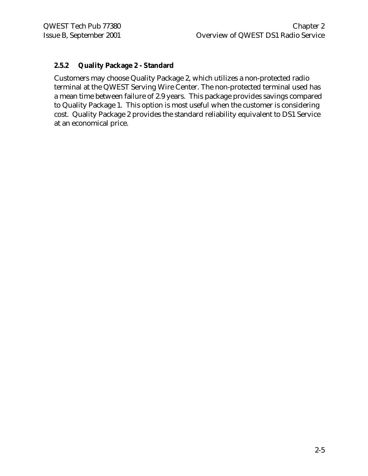#### **2.5.2 Quality Package 2 - Standard**

Customers may choose Quality Package 2, which utilizes a non-protected radio terminal at the QWEST Serving Wire Center. The non-protected terminal used has a mean time between failure of 2.9 years. This package provides savings compared to Quality Package 1. This option is most useful when the customer is considering cost. Quality Package 2 provides the standard reliability equivalent to DS1 Service at an economical price.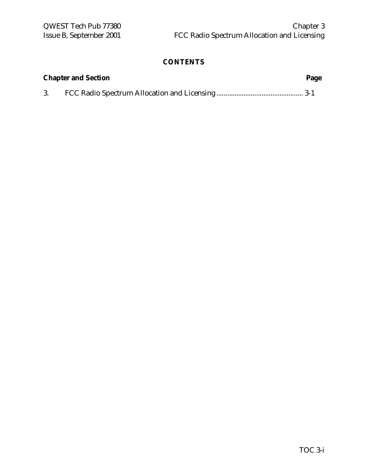| <b>Chapter and Section</b><br>Page |  |  |  |
|------------------------------------|--|--|--|
|                                    |  |  |  |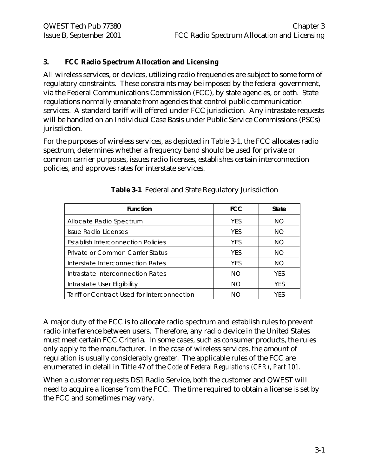#### **3. FCC Radio Spectrum Allocation and Licensing**

All wireless services, or devices, utilizing radio frequencies are subject to some form of regulatory constraints. These constraints may be imposed by the federal government, via the Federal Communications Commission (FCC), by state agencies, or both. State regulations normally emanate from agencies that control public communication services. A standard tariff will offered under FCC jurisdiction. Any intrastate requests will be handled on an Individual Case Basis under Public Service Commissions (PSCs) jurisdiction.

For the purposes of wireless services, as depicted in Table 3-1, the FCC allocates radio spectrum, determines whether a frequency band should be used for private or common carrier purposes, issues radio licenses, establishes certain interconnection policies, and approves rates for interstate services.

| <b>Function</b>                             | <b>FCC</b> | <b>State</b> |
|---------------------------------------------|------------|--------------|
| Allocate Radio Spectrum                     | <b>YFS</b> | NO.          |
| Issue Radio Licenses                        | <b>YFS</b> | NO.          |
| <b>Establish Interconnection Policies</b>   | <b>YFS</b> | NO.          |
| Private or Common Carrier Status            | <b>YFS</b> | <b>NO</b>    |
| Interstate Interconnection Rates            | <b>YFS</b> | NO.          |
| Intrastate Interconnection Rates            | NO.        | <b>YFS</b>   |
| Intrastate User Eligibility                 | <b>NO</b>  | <b>YES</b>   |
| Tariff or Contract Used for Interconnection | NΟ         | <b>YES</b>   |

|  |  |  |  | Table 3-1 Federal and State Regulatory Jurisdiction |
|--|--|--|--|-----------------------------------------------------|
|--|--|--|--|-----------------------------------------------------|

A major duty of the FCC is to allocate radio spectrum and establish rules to prevent radio interference between users. Therefore, any radio device in the United States must meet certain FCC Criteria. In some cases, such as consumer products, the rules only apply to the manufacturer. In the case of wireless services, the amount of regulation is usually considerably greater. The applicable rules of the FCC are enumerated in detail in Title 47 of the *Code of Federal Regulations (CFR), Part 101.*

When a customer requests DS1 Radio Service, both the customer and QWEST will need to acquire a license from the FCC. The time required to obtain a license is set by the FCC and sometimes may vary.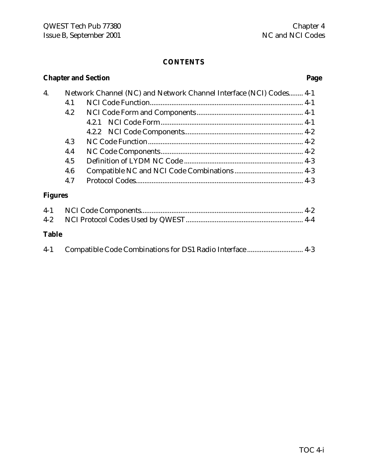# **Chapter and Section Page**

| 4.             |     | Network Channel (NC) and Network Channel Interface (NCI) Codes 4-1 |  |
|----------------|-----|--------------------------------------------------------------------|--|
|                | 4.1 |                                                                    |  |
|                | 4.2 |                                                                    |  |
|                |     |                                                                    |  |
|                |     |                                                                    |  |
|                | 4.3 |                                                                    |  |
|                | 4.4 |                                                                    |  |
|                | 4.5 |                                                                    |  |
|                | 4.6 |                                                                    |  |
|                | 4.7 |                                                                    |  |
| <b>Figures</b> |     |                                                                    |  |

### **Table**

|  | $4-1$ |  |  |
|--|-------|--|--|
|--|-------|--|--|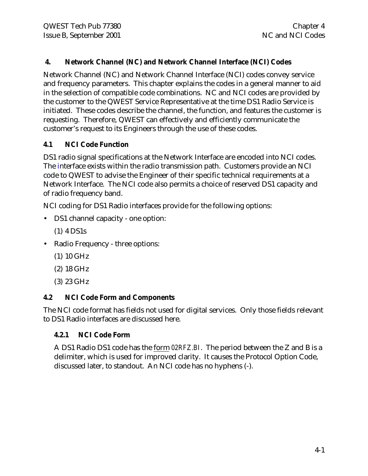#### **4. Network Channel (NC) and Network Channel Interface (NCI) Codes**

Network Channel (NC) and Network Channel Interface (NCI) codes convey service and frequency parameters. This chapter explains the codes in a general manner to aid in the selection of compatible code combinations. NC and NCI codes are provided by the customer to the QWEST Service Representative at the time DS1 Radio Service is initiated. These codes describe the channel, the function, and features the customer is requesting. Therefore, QWEST can effectively and efficiently communicate the customer's request to its Engineers through the use of these codes.

### **4.1 NCI Code Function**

DS1 radio signal specifications at the Network Interface are encoded into NCI codes. The interface exists within the radio transmission path. Customers provide an NCI code to QWEST to advise the Engineer of their specific technical requirements at a Network Interface. The NCI code also permits a choice of reserved DS1 capacity and of radio frequency band.

NCI coding for DS1 Radio interfaces provide for the following options:

- DS1 channel capacity one option:
	- (1) 4 DS1s
- Radio Frequency three options:
	- (1) 10 GHz
	- (2) 18 GHz
	- (3) 23 GHz

#### **4.2 NCI Code Form and Components**

The NCI code format has fields not used for digital services. Only those fields relevant to DS1 Radio interfaces are discussed here.

#### **4.2.1 NCI Code Form**

A DS1 Radio DS1 code has the form *02RFZ.BI*. The period between the Z and B is a delimiter, which is used for improved clarity. It causes the Protocol Option Code, discussed later, to standout. An NCI code has no hyphens (-).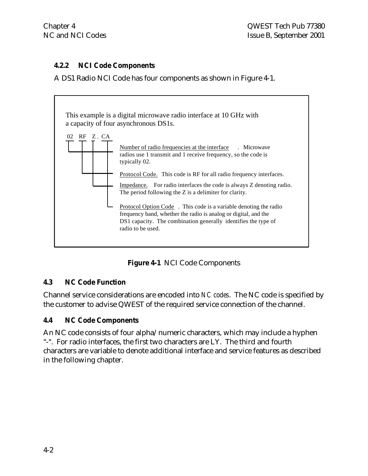#### **4.2.2 NCI Code Components**

A DS1 Radio NCI Code has four components as shown in Figure 4-1.



**Figure 4-1** NCI Code Components

#### **4.3 NC Code Function**

Channel service considerations are encoded into *NC codes*. The NC code is specified by the customer to advise QWEST of the required service connection of the channel.

#### **4.4 NC Code Components**

An NC code consists of four alpha/numeric characters, which may include a hyphen "-". For radio interfaces, the first two characters are LY. The third and fourth characters are variable to denote additional interface and service features as described in the following chapter.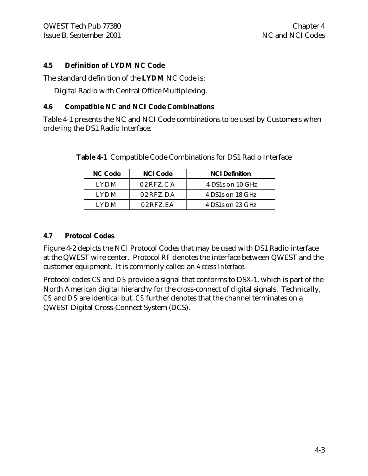#### **4.5 Definition of LYDM NC Code**

The standard definition of the **LYDM** NC Code is:

Digital Radio with Central Office Multiplexing.

#### **4.6 Compatible NC and NCI Code Combinations**

Table 4-1 presents the NC and NCI Code combinations to be used by Customers when ordering the DS1 Radio Interface.

| <b>NC Code</b> | <b>NCI Code</b> | <b>NCI Definition</b> |
|----------------|-----------------|-----------------------|
| I Y D M        | $02RFZ$ . $CA$  | 4 DS1s on 10 GHz      |
| I Y D M        | $02RFZ$ . DA    | 4 DS1s on 18 GHz      |
| I Y D M        | $02$ RFZ FA     | 4 DS1s on 23 GHz      |

**Table 4-1** Compatible Code Combinations for DS1 Radio Interface

#### **4.7 Protocol Codes**

Figure 4-2 depicts the NCI Protocol Codes that may be used with DS1 Radio interface at the QWEST wire center. Protocol *RF* denotes the interface between QWEST and the customer equipment. It is commonly called an *Access Interface*.

Protocol codes *CS* and *DS* provide a signal that conforms to DSX-1, which is part of the North American digital hierarchy for the cross-connect of digital signals. Technically, *CS* and *DS* are identical but, *CS* further denotes that the channel terminates on a QWEST Digital Cross-Connect System (DCS).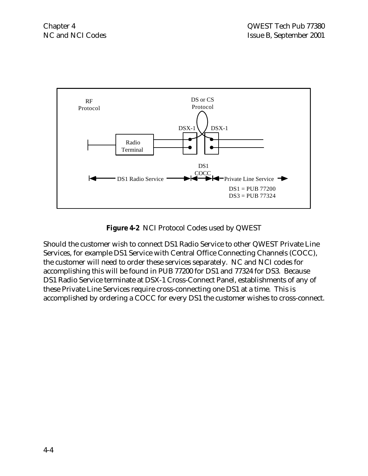

**Figure 4-2** NCI Protocol Codes used by QWEST

Should the customer wish to connect DS1 Radio Service to other QWEST Private Line Services, for example DS1 Service with Central Office Connecting Channels (COCC), the customer will need to order these services separately. NC and NCI codes for accomplishing this will be found in PUB 77200 for DS1 and 77324 for DS3. Because DS1 Radio Service terminate at DSX-1 Cross-Connect Panel, establishments of any of these Private Line Services require cross-connecting one DS1 at a time. This is accomplished by ordering a COCC for every DS1 the customer wishes to cross-connect.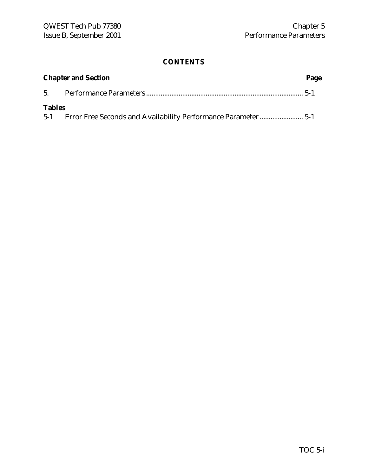| <b>Chapter and Section</b><br>Page |  |  |
|------------------------------------|--|--|
|                                    |  |  |
| <b>Tables</b>                      |  |  |
|                                    |  |  |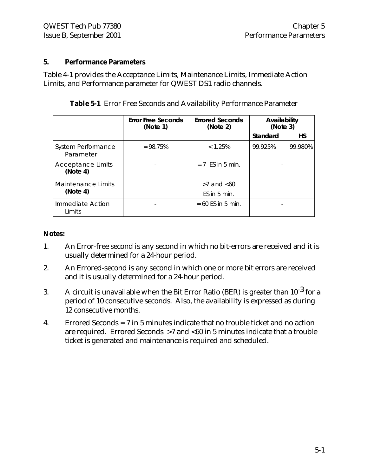#### **5. Performance Parameters**

Table 4-1 provides the Acceptance Limits, Maintenance Limits, Immediate Action Limits, and Performance parameter for QWEST DS1 radio channels.

|                                      | <b>Error Free Seconds</b><br>(Note 1) | <b>Errored Seconds</b><br>(Note 2) | Availability<br>(Note 3) |           |
|--------------------------------------|---------------------------------------|------------------------------------|--------------------------|-----------|
|                                      |                                       |                                    | Standard                 | <b>HS</b> |
| System Performance<br>Parameter      | $= 98.75%$                            | < 1.25%                            | 99.925%                  | 99.980%   |
| <b>Acceptance Limits</b><br>(Note 4) |                                       | $= 7$ FS in 5 min.                 |                          |           |
| Maintenance Limits                   |                                       | $>7$ and $< 60$                    |                          |           |
| (Note 4)                             |                                       | $ES$ in 5 min.                     |                          |           |
| Immediate Action<br>Limits           |                                       | $= 60$ ES in 5 min.                |                          |           |

|  |  |  |  |  | Table 5-1 Error Free Seconds and Availability Performance Parameter |  |
|--|--|--|--|--|---------------------------------------------------------------------|--|
|--|--|--|--|--|---------------------------------------------------------------------|--|

#### **Notes:**

- 1. An Error-free second is any second in which no bit-errors are received and it is usually determined for a 24-hour period.
- 2. An Errored-second is any second in which one or more bit errors are received and it is usually determined for a 24-hour period.
- 3. A circuit is unavailable when the Bit Error Ratio (BER) is greater than  $10^{-3}$  for a period of 10 consecutive seconds. Also, the availability is expressed as during 12 consecutive months.
- 4. Errored Seconds = 7 in 5 minutes indicate that no trouble ticket and no action are required. Errored Seconds >7 and <60 in 5 minutes indicate that a trouble ticket is generated and maintenance is required and scheduled.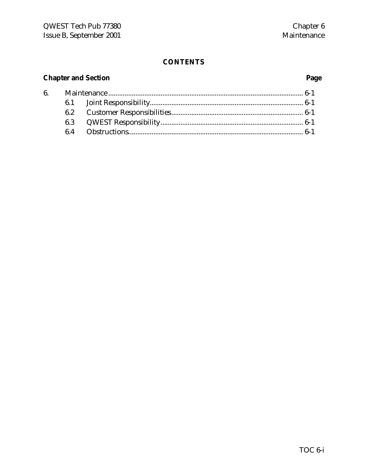# **Chapter and Section**

# Page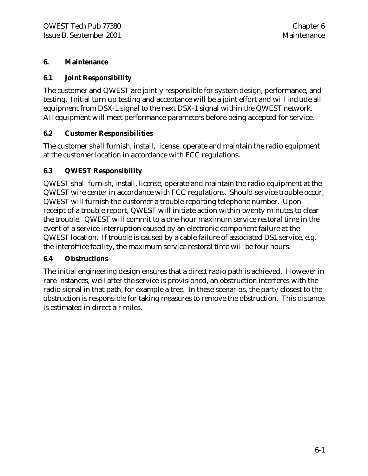#### **6. Maintenance**

#### **6.1 Joint Responsibility**

The customer and QWEST are jointly responsible for system design, performance, and testing. Initial turn up testing and acceptance will be a joint effort and will include all equipment from DSX-1 signal to the next DSX-1 signal within the QWEST network. All equipment will meet performance parameters before being accepted for service.

#### **6.2 Customer Responsibilities**

The customer shall furnish, install, license, operate and maintain the radio equipment at the customer location in accordance with FCC regulations.

#### **6.3 QWEST Responsibility**

QWEST shall furnish, install, license, operate and maintain the radio equipment at the QWEST wire center in accordance with FCC regulations. Should service trouble occur, QWEST will furnish the customer a trouble reporting telephone number. Upon receipt of a trouble report, QWEST will initiate action within twenty minutes to clear the trouble. QWEST will commit to a one-hour maximum service restoral time in the event of a service interruption caused by an electronic component failure at the QWEST location. If trouble is caused by a cable failure of associated DS1 service, e.g. the interoffice facility, the maximum service restoral time will be four hours.

#### **6.4 Obstructions**

The initial engineering design ensures that a direct radio path is achieved. However in rare instances, well after the service is provisioned, an obstruction interferes with the radio signal in that path, for example a tree. In these scenarios, the party closest to the obstruction is responsible for taking measures to remove the obstruction. This distance is estimated in direct air miles.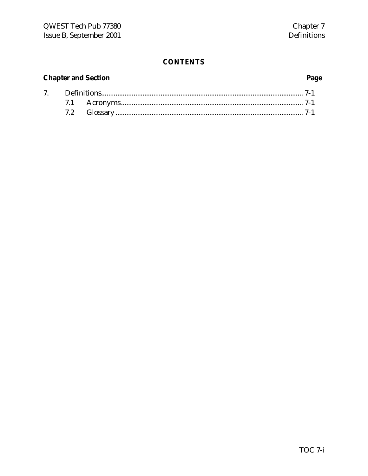# **Chapter and Section**

# Page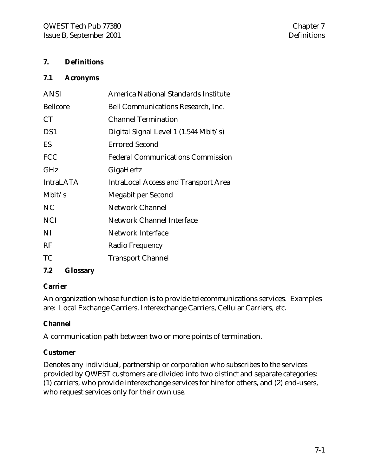#### **7. Definitions**

#### **7.1 Acronyms**

| <b>ANSI</b>      | America National Standards Institute        |
|------------------|---------------------------------------------|
| <b>Bellcore</b>  | <b>Bell Communications Research, Inc.</b>   |
| <b>CT</b>        | <b>Channel Termination</b>                  |
| DS1              | Digital Signal Level 1 (1.544 Mbit/s)       |
| ES               | <b>Errored Second</b>                       |
| <b>FCC</b>       | <b>Federal Communications Commission</b>    |
| GHz              | GigaHertz                                   |
| <b>IntraLATA</b> | <b>IntraLocal Access and Transport Area</b> |
| Mbit/s           | Megabit per Second                          |
| NC               | <b>Network Channel</b>                      |
|                  |                                             |
| <b>NCI</b>       | <b>Network Channel Interface</b>            |
| NI               | <b>Network Interface</b>                    |
| RF               | Radio Frequency                             |

#### **7.2 Glossary**

#### **Carrier**

An organization whose function is to provide telecommunications services. Examples are: Local Exchange Carriers, Interexchange Carriers, Cellular Carriers, etc.

#### **Channel**

A communication path between two or more points of termination.

#### **Customer**

Denotes any individual, partnership or corporation who subscribes to the services provided by QWEST customers are divided into two distinct and separate categories: (1) carriers, who provide interexchange services for hire for others, and (2) end-users, who request services only for their own use.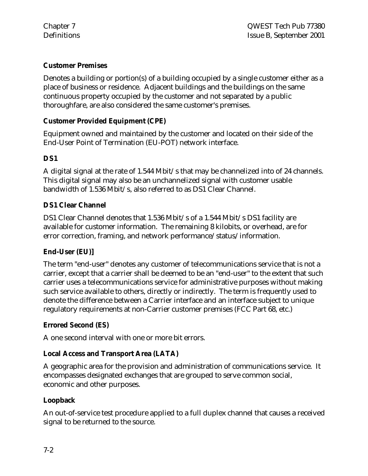#### **Customer Premises**

Denotes a building or portion(s) of a building occupied by a single customer either as a place of business or residence. Adjacent buildings and the buildings on the same continuous property occupied by the customer and not separated by a public thoroughfare, are also considered the same customer's premises.

#### **Customer Provided Equipment (CPE)**

Equipment owned and maintained by the customer and located on their side of the End-User Point of Termination (EU-POT) network interface.

#### **DS1**

A digital signal at the rate of 1.544 Mbit/s that may be channelized into of 24 channels. This digital signal may also be an unchannelized signal with customer usable bandwidth of 1.536 Mbit/s, also referred to as DS1 Clear Channel.

#### **DS1 Clear Channel**

DS1 Clear Channel denotes that 1.536 Mbit/s of a 1.544 Mbit/s DS1 facility are available for customer information. The remaining 8 kilobits, or overhead, are for error correction, framing, and network performance/status/information.

#### **End-User (EU)]**

The term "end-user" denotes any customer of telecommunications service that is not a carrier, except that a carrier shall be deemed to be an "end-user" to the extent that such carrier uses a telecommunications service for administrative purposes without making such service available to others, directly or indirectly. The term is frequently used to denote the difference between a Carrier interface and an interface subject to unique regulatory requirements at non-Carrier customer premises (FCC Part 68, etc.)

#### **Errored Second (ES)**

A one second interval with one or more bit errors.

#### **Local Access and Transport Area (LATA)**

A geographic area for the provision and administration of communications service. It encompasses designated exchanges that are grouped to serve common social, economic and other purposes.

#### **Loopback**

An out-of-service test procedure applied to a full duplex channel that causes a received signal to be returned to the source.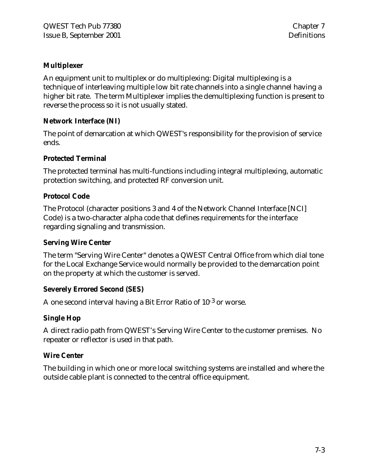#### **Multiplexer**

An equipment unit to multiplex or do multiplexing: Digital multiplexing is a technique of interleaving multiple low bit rate channels into a single channel having a higher bit rate. The term Multiplexer implies the demultiplexing function is present to reverse the process so it is not usually stated.

#### **Network Interface (NI)**

The point of demarcation at which QWEST's responsibility for the provision of service ends.

#### **Protected Terminal**

The protected terminal has multi-functions including integral multiplexing, automatic protection switching, and protected RF conversion unit.

#### **Protocol Code**

The Protocol (character positions 3 and 4 of the Network Channel Interface [NCI] Code) is a two-character alpha code that defines requirements for the interface regarding signaling and transmission.

#### **Serving Wire Center**

The term "Serving Wire Center" denotes a QWEST Central Office from which dial tone for the Local Exchange Service would normally be provided to the demarcation point on the property at which the customer is served.

#### **Severely Errored Second (SES)**

A one second interval having a Bit Error Ratio of 10-3 or worse.

#### **Single Hop**

A direct radio path from QWEST's Serving Wire Center to the customer premises. No repeater or reflector is used in that path.

#### **Wire Center**

The building in which one or more local switching systems are installed and where the outside cable plant is connected to the central office equipment.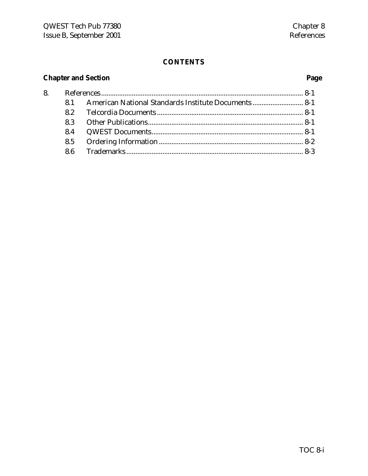# **Chapter and Section**

8.

# Page

| 8.1 American National Standards Institute Documents  8-1 |  |
|----------------------------------------------------------|--|
|                                                          |  |
|                                                          |  |
|                                                          |  |
|                                                          |  |
|                                                          |  |
|                                                          |  |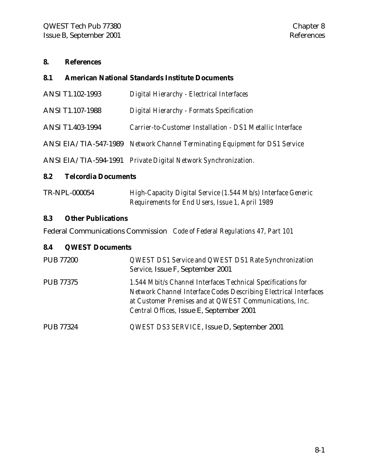#### **8. References**

#### **8.1 American National Standards Institute Documents**

| <b>ANSI T1.102-1993</b> | Digital Hierarchy - Electrical Interfaces                                   |
|-------------------------|-----------------------------------------------------------------------------|
| ANSI T1.107-1988        | Digital Hierarchy - Formats Specification                                   |
| <b>ANSI T1.403-1994</b> | Carrier-to-Customer Installation - DS1 Metallic Interface                   |
|                         | ANSI EIA/TIA-547-1989 Network Channel Terminating Equipment for DS1 Service |
|                         | ANSI EIA/TIA-594-1991 Private Digital Network Synchronization.              |

### **8.2 Telcordia Documents**

| TR-NPL-000054 | High-Capacity Digital Service (1.544 Mb/s) Interface Generic |
|---------------|--------------------------------------------------------------|
|               | Requirements for End Users, Issue 1, April 1989              |

#### **8.3 Other Publications**

Federal Communications Commission *Code of Federal Regulations 47, Part 101*

#### **8.4 QWEST Documents**

| <b>PUB 77200</b> | QWEST DS1 Service and QWEST DS1 Rate Synchronization<br>Service, Issue F, September 2001                                                                                                                                               |
|------------------|----------------------------------------------------------------------------------------------------------------------------------------------------------------------------------------------------------------------------------------|
| <b>PUB 77375</b> | 1.544 Mbit/s Channel Interfaces Technical Specifications for<br>Network Channel Interface Codes Describing Electrical Interfaces<br>at Customer Premises and at QWEST Communications, Inc.<br>Central Offices, Issue E, September 2001 |
| <b>PUB 77324</b> | QWEST DS3 SERVICE, Issue D, September 2001                                                                                                                                                                                             |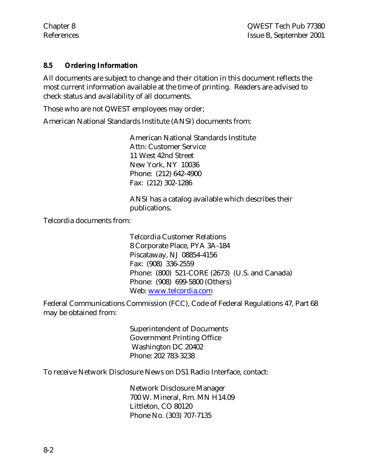#### **8.5 Ordering Information**

All documents are subject to change and their citation in this document reflects the most current information available at the time of printing. Readers are advised to check status and availability of all documents.

Those who are not QWEST employees may order;

American National Standards Institute (ANSI) documents from:

American National Standards Institute Attn: Customer Service 11 West 42nd Street New York, NY 10036 Phone: (212) 642-4900 Fax: (212) 302-1286

ANSI has a catalog available which describes their publications.

Telcordia documents from:

Telcordia Customer Relations 8 Corporate Place, PYA 3A-184 Piscataway, NJ 08854-4156 Fax: (908) 336-2559 Phone: (800) 521-CORE (2673) (U.S. and Canada) Phone: (908) 699-5800 (Others) Web: www.telcordia.com

Federal Communications Commission (FCC), Code of Federal Regulations 47, Part 68 may be obtained from:

> Superintendent of Documents Government Printing Office Washington DC 20402 Phone: 202 783-3238

To receive Network Disclosure News on DS1 Radio Interface, contact:

Network Disclosure Manager 700 W. Mineral, Rm. MN H14.09 Littleton, CO 80120 Phone No. (303) 707-7135